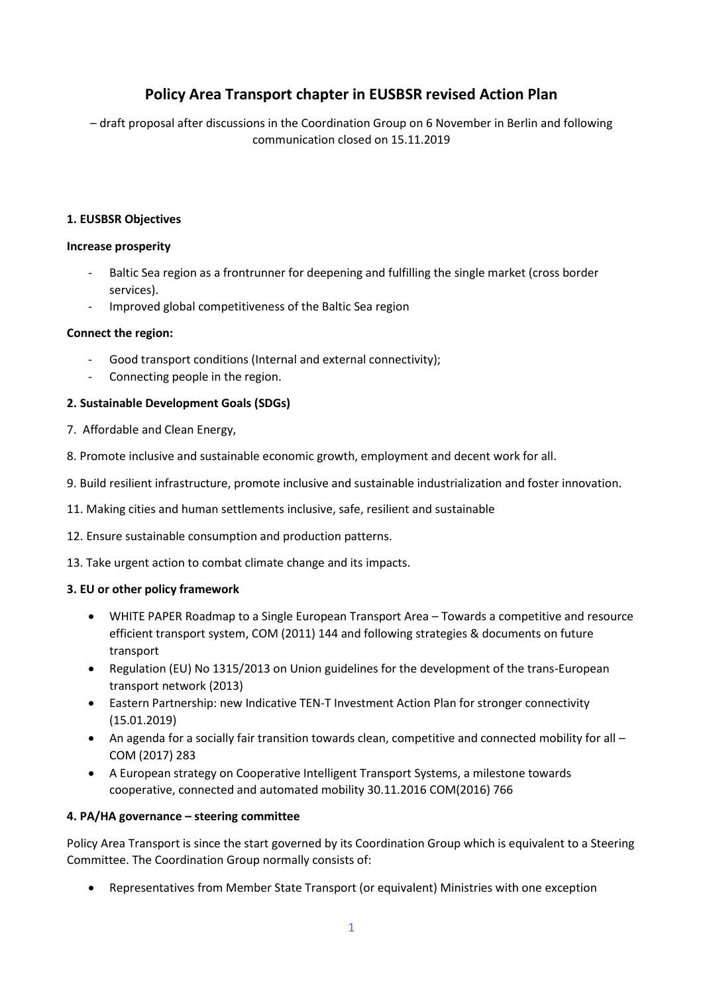## **Policy Area Transport chapter in EUSBSR revised Action Plan**

– draft proposal after discussions in the Coordination Group on 6 November in Berlin and following communication closed on 15.11.2019

### **1. EUSBSR Objectives**

#### **Increase prosperity**

- Baltic Sea region as a frontrunner for deepening and fulfilling the single market (cross border services).
- Improved global competitiveness of the Baltic Sea region

#### **Connect the region:**

- Good transport conditions (Internal and external connectivity);
- Connecting people in the region.

#### **2. Sustainable Development Goals (SDGs)**

- 7. Affordable and Clean Energy,
- 8. Promote inclusive and sustainable economic growth, employment and decent work for all.
- 9. Build resilient infrastructure, promote inclusive and sustainable industrialization and foster innovation.
- 11. Making cities and human settlements inclusive, safe, resilient and sustainable
- 12. Ensure sustainable consumption and production patterns.
- 13. Take urgent action to combat climate change and its impacts.

#### **3. EU or other policy framework**

- WHITE PAPER Roadmap to a Single European Transport Area Towards a competitive and resource efficient transport system, COM (2011) 144 and following strategies & documents on future transport
- Regulation (EU) No 1315/2013 on Union guidelines for the development of the trans-European transport network (2013)
- Eastern Partnership: new Indicative TEN-T Investment Action Plan for stronger connectivity (15.01.2019)
- An agenda for a socially fair transition towards clean, competitive and connected mobility for all COM (2017) 283
- A European strategy on Cooperative Intelligent Transport Systems, a milestone towards cooperative, connected and automated mobility 30.11.2016 COM(2016) 766

## **4. PA/HA governance – steering committee**

Policy Area Transport is since the start governed by its Coordination Group which is equivalent to a Steering Committee. The Coordination Group normally consists of:

Representatives from Member State Transport (or equivalent) Ministries with one exception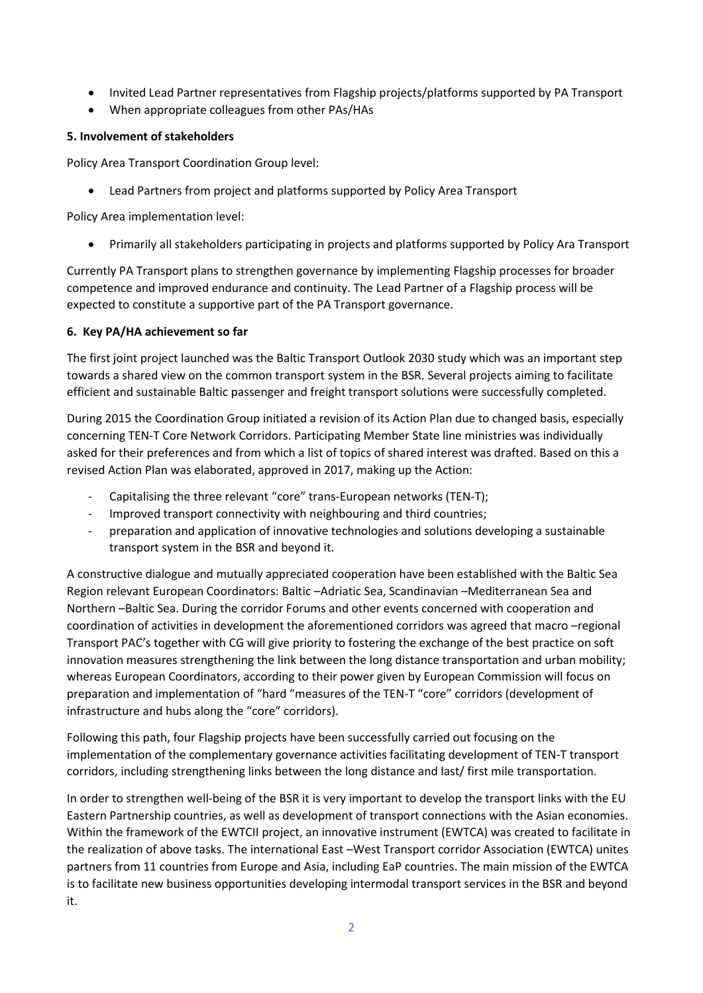- Invited Lead Partner representatives from Flagship projects/platforms supported by PA Transport
- When appropriate colleagues from other PAs/HAs

## **5. Involvement of stakeholders**

Policy Area Transport Coordination Group level:

Lead Partners from project and platforms supported by Policy Area Transport

Policy Area implementation level:

Primarily all stakeholders participating in projects and platforms supported by Policy Ara Transport

Currently PA Transport plans to strengthen governance by implementing Flagship processes for broader competence and improved endurance and continuity. The Lead Partner of a Flagship process will be expected to constitute a supportive part of the PA Transport governance.

#### **6. Key PA/HA achievement so far**

The first joint project launched was the Baltic Transport Outlook 2030 study which was an important step towards a shared view on the common transport system in the BSR. Several projects aiming to facilitate efficient and sustainable Baltic passenger and freight transport solutions were successfully completed.

During 2015 the Coordination Group initiated a revision of its Action Plan due to changed basis, especially concerning TEN-T Core Network Corridors. Participating Member State line ministries was individually asked for their preferences and from which a list of topics of shared interest was drafted. Based on this a revised Action Plan was elaborated, approved in 2017, making up the Action:

- Capitalising the three relevant "core" trans-European networks (TEN-T);
- Improved transport connectivity with neighbouring and third countries;
- preparation and application of innovative technologies and solutions developing a sustainable transport system in the BSR and beyond it.

A constructive dialogue and mutually appreciated cooperation have been established with the Baltic Sea Region relevant European Coordinators: Baltic –Adriatic Sea, Scandinavian –Mediterranean Sea and Northern –Baltic Sea. During the corridor Forums and other events concerned with cooperation and coordination of activities in development the aforementioned corridors was agreed that macro –regional Transport PAC's together with CG will give priority to fostering the exchange of the best practice on soft innovation measures strengthening the link between the long distance transportation and urban mobility; whereas European Coordinators, according to their power given by European Commission will focus on preparation and implementation of "hard "measures of the TEN-T "core" corridors (development of infrastructure and hubs along the "core" corridors).

Following this path, four Flagship projects have been successfully carried out focusing on the implementation of the complementary governance activities facilitating development of TEN-T transport corridors, including strengthening links between the long distance and last/ first mile transportation.

In order to strengthen well-being of the BSR it is very important to develop the transport links with the EU Eastern Partnership countries, as well as development of transport connections with the Asian economies. Within the framework of the EWTCII project, an innovative instrument (EWTCA) was created to facilitate in the realization of above tasks. The international East –West Transport corridor Association (EWTCA) unites partners from 11 countries from Europe and Asia, including EaP countries. The main mission of the EWTCA is to facilitate new business opportunities developing intermodal transport services in the BSR and beyond it.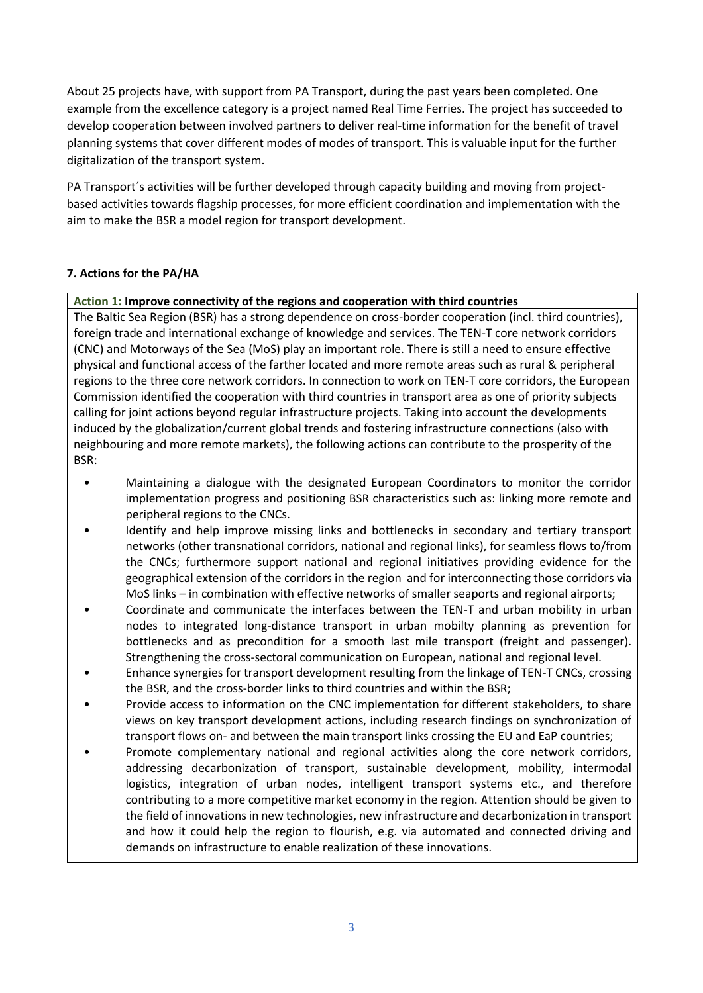About 25 projects have, with support from PA Transport, during the past years been completed. One example from the excellence category is a project named Real Time Ferries. The project has succeeded to develop cooperation between involved partners to deliver real-time information for the benefit of travel planning systems that cover different modes of modes of transport. This is valuable input for the further digitalization of the transport system.

PA Transport´s activities will be further developed through capacity building and moving from projectbased activities towards flagship processes, for more efficient coordination and implementation with the aim to make the BSR a model region for transport development.

## **7. Actions for the PA/HA**

## **Action 1: Improve connectivity of the regions and cooperation with third countries**

The Baltic Sea Region (BSR) has a strong dependence on cross-border cooperation (incl. third countries), foreign trade and international exchange of knowledge and services. The TEN-T core network corridors (CNC) and Motorways of the Sea (MoS) play an important role. There is still a need to ensure effective physical and functional access of the farther located and more remote areas such as rural & peripheral regions to the three core network corridors. In connection to work on TEN-T core corridors, the European Commission identified the cooperation with third countries in transport area as one of priority subjects calling for joint actions beyond regular infrastructure projects. Taking into account the developments induced by the globalization/current global trends and fostering infrastructure connections (also with neighbouring and more remote markets), the following actions can contribute to the prosperity of the BSR:

- Maintaining a dialogue with the designated European Coordinators to monitor the corridor implementation progress and positioning BSR characteristics such as: linking more remote and peripheral regions to the CNCs.
- Identify and help improve missing links and bottlenecks in secondary and tertiary transport networks (other transnational corridors, national and regional links), for seamless flows to/from the CNCs; furthermore support national and regional initiatives providing evidence for the geographical extension of the corridors in the region and for interconnecting those corridors via MoS links – in combination with effective networks of smaller seaports and regional airports;
- Coordinate and communicate the interfaces between the TEN-T and urban mobility in urban nodes to integrated long-distance transport in urban mobilty planning as prevention for bottlenecks and as precondition for a smooth last mile transport (freight and passenger). Strengthening the cross-sectoral communication on European, national and regional level.
- Enhance synergies for transport development resulting from the linkage of TEN-T CNCs, crossing the BSR, and the cross-border links to third countries and within the BSR;
- Provide access to information on the CNC implementation for different stakeholders, to share views on key transport development actions, including research findings on synchronization of transport flows on- and between the main transport links crossing the EU and EaP countries;
- Promote complementary national and regional activities along the core network corridors, addressing decarbonization of transport, sustainable development, mobility, intermodal logistics, integration of urban nodes, intelligent transport systems etc., and therefore contributing to a more competitive market economy in the region. Attention should be given to the field of innovations in new technologies, new infrastructure and decarbonization in transport and how it could help the region to flourish, e.g. via automated and connected driving and demands on infrastructure to enable realization of these innovations.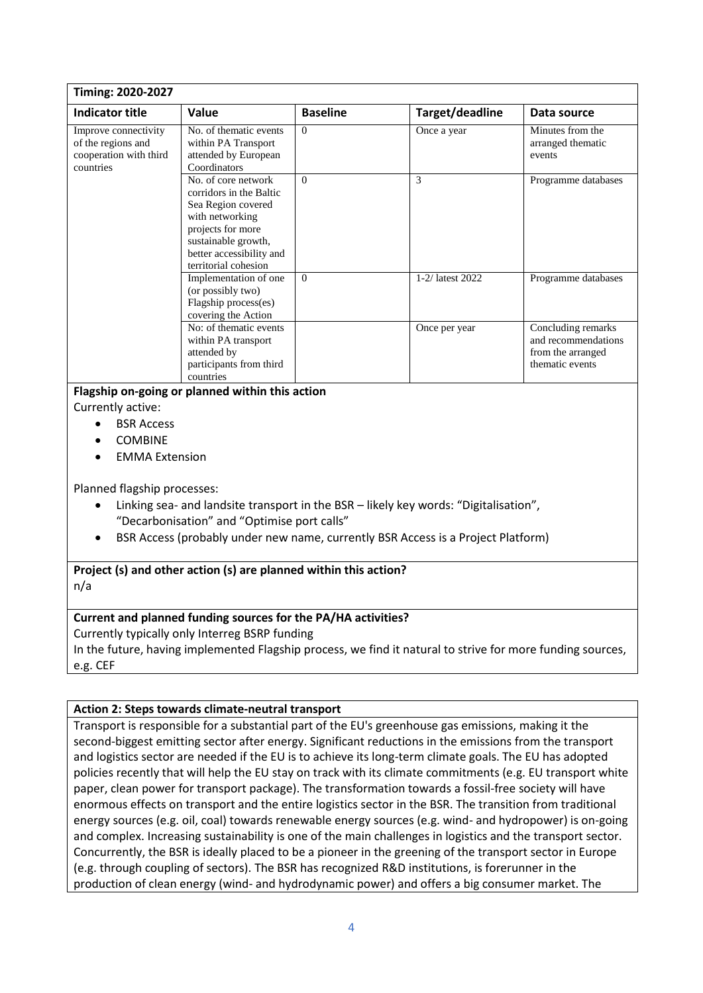| Timing: 2020-2027                                                                 |                                                                                                                                                                                         |                 |                  |                                                                                   |  |  |  |
|-----------------------------------------------------------------------------------|-----------------------------------------------------------------------------------------------------------------------------------------------------------------------------------------|-----------------|------------------|-----------------------------------------------------------------------------------|--|--|--|
| Indicator title                                                                   | Value                                                                                                                                                                                   | <b>Baseline</b> | Target/deadline  | Data source                                                                       |  |  |  |
| Improve connectivity<br>of the regions and<br>cooperation with third<br>countries | No. of thematic events<br>within PA Transport<br>attended by European<br>Coordinators                                                                                                   | $\Omega$        | Once a year      | Minutes from the<br>arranged thematic<br>events                                   |  |  |  |
|                                                                                   | No. of core network<br>corridors in the Baltic<br>Sea Region covered<br>with networking<br>projects for more<br>sustainable growth,<br>better accessibility and<br>territorial cohesion | $\Omega$        | 3                | Programme databases                                                               |  |  |  |
|                                                                                   | Implementation of one<br>(or possibly two)<br>Flagship process(es)<br>covering the Action                                                                                               | $\Omega$        | 1-2/ latest 2022 | Programme databases                                                               |  |  |  |
|                                                                                   | No: of thematic events<br>within PA transport<br>attended by<br>participants from third<br>countries                                                                                    |                 | Once per year    | Concluding remarks<br>and recommendations<br>from the arranged<br>thematic events |  |  |  |
| Flagship on-going or planned within this action                                   |                                                                                                                                                                                         |                 |                  |                                                                                   |  |  |  |
| Currently active:                                                                 |                                                                                                                                                                                         |                 |                  |                                                                                   |  |  |  |
| <b>BSR Access</b>                                                                 |                                                                                                                                                                                         |                 |                  |                                                                                   |  |  |  |
| <b>COMBINE</b>                                                                    |                                                                                                                                                                                         |                 |                  |                                                                                   |  |  |  |
| <b>EMMA Extension</b>                                                             |                                                                                                                                                                                         |                 |                  |                                                                                   |  |  |  |

Planned flagship processes:

- Linking sea- and landsite transport in the BSR likely key words: "Digitalisation", "Decarbonisation" and "Optimise port calls"
- BSR Access (probably under new name, currently BSR Access is a Project Platform)

# **Project (s) and other action (s) are planned within this action?**

n/a

## **Current and planned funding sources for the PA/HA activities?**

Currently typically only Interreg BSRP funding

In the future, having implemented Flagship process, we find it natural to strive for more funding sources, e.g. CEF

## **Action 2: Steps towards climate-neutral transport**

Transport is responsible for a substantial part of the EU's greenhouse gas emissions, making it the second-biggest emitting sector after energy. Significant reductions in the emissions from the transport and logistics sector are needed if the EU is to achieve its long-term climate goals. The EU has adopted policies recently that will help the EU stay on track with its climate commitments (e.g. EU transport white paper, clean power for transport package). The transformation towards a fossil-free society will have enormous effects on transport and the entire logistics sector in the BSR. The transition from traditional energy sources (e.g. oil, coal) towards renewable energy sources (e.g. wind- and hydropower) is on-going and complex. Increasing sustainability is one of the main challenges in logistics and the transport sector. Concurrently, the BSR is ideally placed to be a pioneer in the greening of the transport sector in Europe (e.g. through coupling of sectors). The BSR has recognized R&D institutions, is forerunner in the production of clean energy (wind- and hydrodynamic power) and offers a big consumer market. The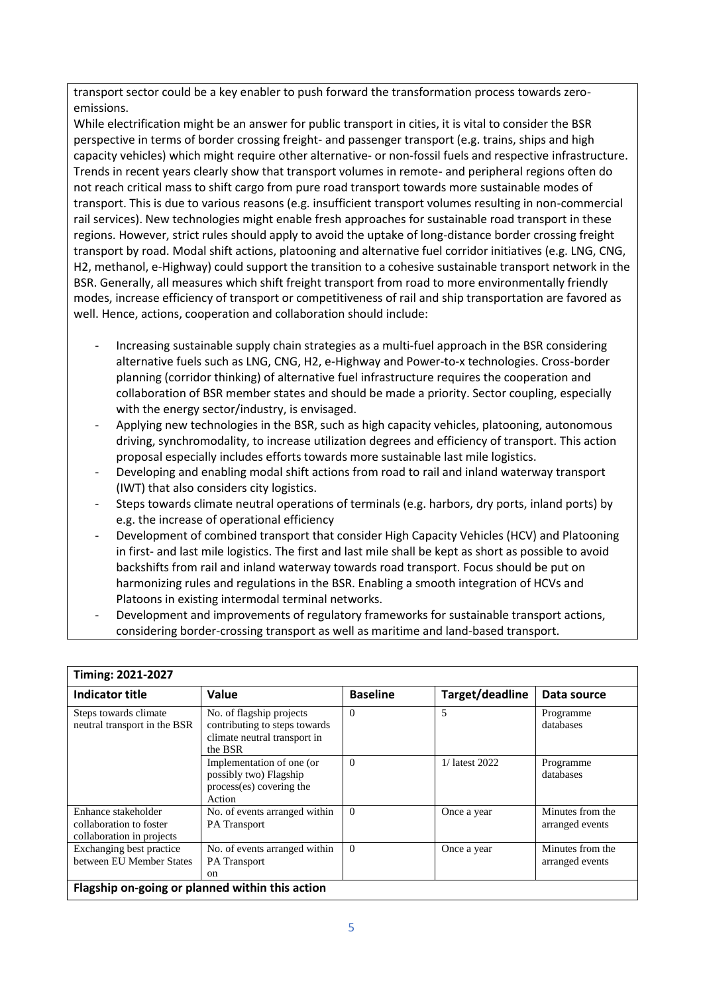transport sector could be a key enabler to push forward the transformation process towards zeroemissions.

While electrification might be an answer for public transport in cities, it is vital to consider the BSR perspective in terms of border crossing freight- and passenger transport (e.g. trains, ships and high capacity vehicles) which might require other alternative- or non-fossil fuels and respective infrastructure. Trends in recent years clearly show that transport volumes in remote- and peripheral regions often do not reach critical mass to shift cargo from pure road transport towards more sustainable modes of transport. This is due to various reasons (e.g. insufficient transport volumes resulting in non-commercial rail services). New technologies might enable fresh approaches for sustainable road transport in these regions. However, strict rules should apply to avoid the uptake of long-distance border crossing freight transport by road. Modal shift actions, platooning and alternative fuel corridor initiatives (e.g. LNG, CNG, H2, methanol, e-Highway) could support the transition to a cohesive sustainable transport network in the BSR. Generally, all measures which shift freight transport from road to more environmentally friendly modes, increase efficiency of transport or competitiveness of rail and ship transportation are favored as well. Hence, actions, cooperation and collaboration should include:

- Increasing sustainable supply chain strategies as a multi-fuel approach in the BSR considering alternative fuels such as LNG, CNG, H2, e-Highway and Power-to-x technologies. Cross-border planning (corridor thinking) of alternative fuel infrastructure requires the cooperation and collaboration of BSR member states and should be made a priority. Sector coupling, especially with the energy sector/industry, is envisaged.
- Applying new technologies in the BSR, such as high capacity vehicles, platooning, autonomous driving, synchromodality, to increase utilization degrees and efficiency of transport. This action proposal especially includes efforts towards more sustainable last mile logistics.
- Developing and enabling modal shift actions from road to rail and inland waterway transport (IWT) that also considers city logistics.
- Steps towards climate neutral operations of terminals (e.g. harbors, dry ports, inland ports) by e.g. the increase of operational efficiency
- Development of combined transport that consider High Capacity Vehicles (HCV) and Platooning in first- and last mile logistics. The first and last mile shall be kept as short as possible to avoid backshifts from rail and inland waterway towards road transport. Focus should be put on harmonizing rules and regulations in the BSR. Enabling a smooth integration of HCVs and Platoons in existing intermodal terminal networks.
- Development and improvements of regulatory frameworks for sustainable transport actions, considering border-crossing transport as well as maritime and land-based transport.

**Timing: 2021-2027**

| Timing: 2021-2027                                                           |                                                                                                      |                 |                 |                                     |  |  |
|-----------------------------------------------------------------------------|------------------------------------------------------------------------------------------------------|-----------------|-----------------|-------------------------------------|--|--|
| Indicator title                                                             | Value                                                                                                | <b>Baseline</b> | Target/deadline | Data source                         |  |  |
| Steps towards climate<br>neutral transport in the BSR                       | No. of flagship projects<br>contributing to steps towards<br>climate neutral transport in<br>the BSR | $\theta$        | 5               | Programme<br>databases              |  |  |
|                                                                             | Implementation of one (or<br>possibly two) Flagship<br>process(es) covering the<br>Action            | $\Omega$        | 1/ latest 2022  | Programme<br>databases              |  |  |
| Enhance stakeholder<br>collaboration to foster<br>collaboration in projects | No. of events arranged within<br>PA Transport                                                        | $\Omega$        | Once a year     | Minutes from the<br>arranged events |  |  |
| Exchanging best practice<br>between EU Member States                        | No. of events arranged within<br>PA Transport<br>on                                                  | $\Omega$        | Once a year     | Minutes from the<br>arranged events |  |  |
| Flagship on-going or planned within this action                             |                                                                                                      |                 |                 |                                     |  |  |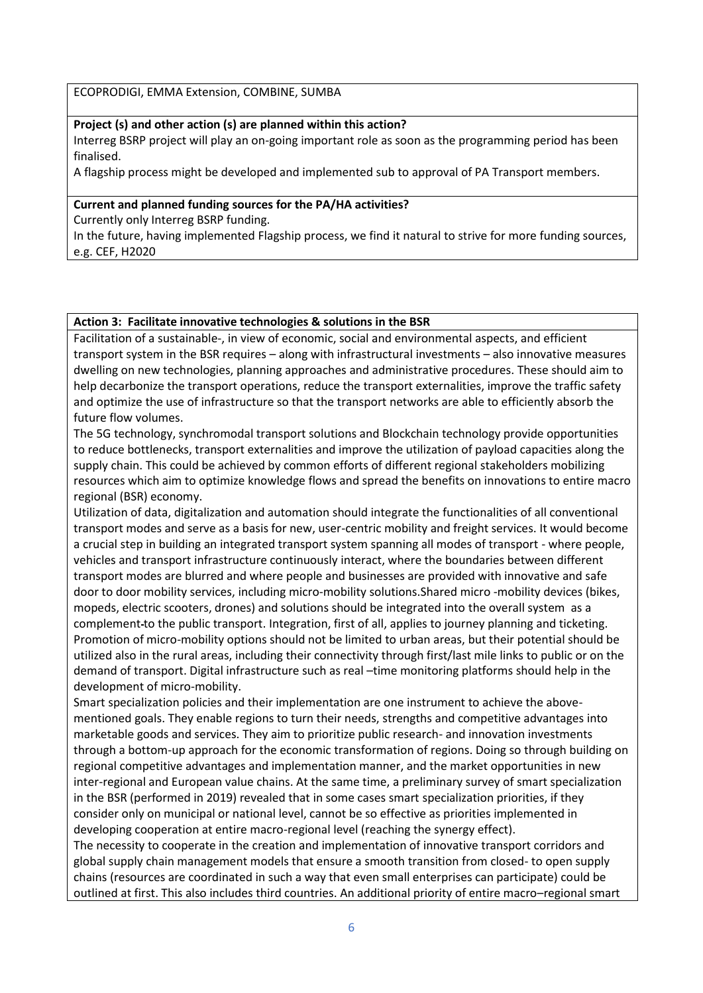ECOPRODIGI, EMMA Extension, COMBINE, SUMBA

#### **Project (s) and other action (s) are planned within this action?**

Interreg BSRP project will play an on-going important role as soon as the programming period has been finalised.

A flagship process might be developed and implemented sub to approval of PA Transport members.

#### **Current and planned funding sources for the PA/HA activities?**

Currently only Interreg BSRP funding.

In the future, having implemented Flagship process, we find it natural to strive for more funding sources, e.g. CEF, H2020

#### **Action 3: Facilitate innovative technologies & solutions in the BSR**

Facilitation of a sustainable-, in view of economic, social and environmental aspects, and efficient transport system in the BSR requires – along with infrastructural investments – also innovative measures dwelling on new technologies, planning approaches and administrative procedures. These should aim to help decarbonize the transport operations, reduce the transport externalities, improve the traffic safety and optimize the use of infrastructure so that the transport networks are able to efficiently absorb the future flow volumes.

The 5G technology, synchromodal transport solutions and Blockchain technology provide opportunities to reduce bottlenecks, transport externalities and improve the utilization of payload capacities along the supply chain. This could be achieved by common efforts of different regional stakeholders mobilizing resources which aim to optimize knowledge flows and spread the benefits on innovations to entire macro regional (BSR) economy.

Utilization of data, digitalization and automation should integrate the functionalities of all conventional transport modes and serve as a basis for new, user-centric mobility and freight services. It would become a crucial step in building an integrated transport system spanning all modes of transport - where people, vehicles and transport infrastructure continuously interact, where the boundaries between different transport modes are blurred and where people and businesses are provided with innovative and safe door to door mobility services, including micro-mobility solutions.Shared micro -mobility devices (bikes, mopeds, electric scooters, drones) and solutions should be integrated into the overall system as a complement to the public transport. Integration, first of all, applies to journey planning and ticketing. Promotion of micro-mobility options should not be limited to urban areas, but their potential should be utilized also in the rural areas, including their connectivity through first/last mile links to public or on the demand of transport. Digital infrastructure such as real –time monitoring platforms should help in the development of micro-mobility.

Smart specialization policies and their implementation are one instrument to achieve the abovementioned goals. They enable regions to turn their needs, strengths and competitive advantages into marketable goods and services. They aim to prioritize public research- and innovation investments through a bottom-up approach for the economic transformation of regions. Doing so through building on regional competitive advantages and implementation manner, and the market opportunities in new inter-regional and European value chains. At the same time, a preliminary survey of smart specialization in the BSR (performed in 2019) revealed that in some cases smart specialization priorities, if they consider only on municipal or national level, cannot be so effective as priorities implemented in developing cooperation at entire macro-regional level (reaching the synergy effect).

The necessity to cooperate in the creation and implementation of innovative transport corridors and global supply chain management models that ensure a smooth transition from closed- to open supply chains (resources are coordinated in such a way that even small enterprises can participate) could be outlined at first. This also includes third countries. An additional priority of entire macro–regional smart